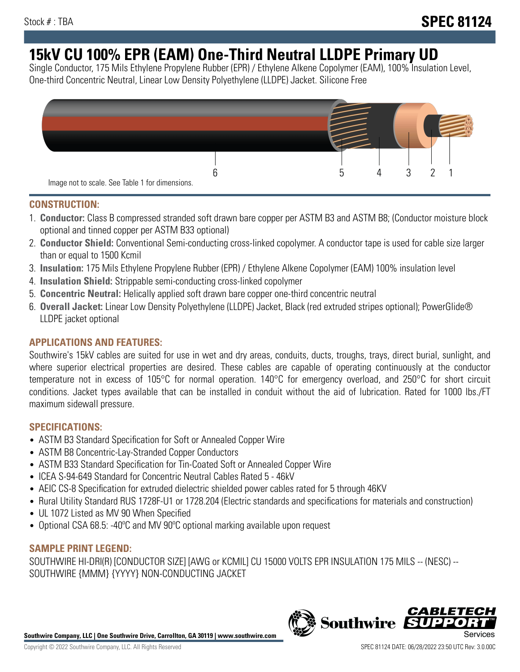# **15kV CU 100% EPR (EAM) One-Third Neutral LLDPE Primary UD**

Single Conductor, 175 Mils Ethylene Propylene Rubber (EPR) / Ethylene Alkene Copolymer (EAM), 100% Insulation Level, One-third Concentric Neutral, Linear Low Density Polyethylene (LLDPE) Jacket. Silicone Free



## **CONSTRUCTION:**

- 1. **Conductor:** Class B compressed stranded soft drawn bare copper per ASTM B3 and ASTM B8; (Conductor moisture block optional and tinned copper per ASTM B33 optional)
- 2. **Conductor Shield:** Conventional Semi-conducting cross-linked copolymer. A conductor tape is used for cable size larger than or equal to 1500 Kcmil
- 3. **Insulation:** 175 Mils Ethylene Propylene Rubber (EPR) / Ethylene Alkene Copolymer (EAM) 100% insulation level
- 4. **Insulation Shield:** Strippable semi-conducting cross-linked copolymer
- 5. **Concentric Neutral:** Helically applied soft drawn bare copper one-third concentric neutral
- 6. **Overall Jacket:** Linear Low Density Polyethylene (LLDPE) Jacket, Black (red extruded stripes optional); PowerGlide® LLDPE jacket optional

## **APPLICATIONS AND FEATURES:**

Southwire's 15kV cables are suited for use in wet and dry areas, conduits, ducts, troughs, trays, direct burial, sunlight, and where superior electrical properties are desired. These cables are capable of operating continuously at the conductor temperature not in excess of 105°C for normal operation. 140°C for emergency overload, and 250°C for short circuit conditions. Jacket types available that can be installed in conduit without the aid of lubrication. Rated for 1000 lbs./FT maximum sidewall pressure.

## **SPECIFICATIONS:**

- ASTM B3 Standard Specification for Soft or Annealed Copper Wire
- ASTM B8 Concentric-Lay-Stranded Copper Conductors
- ASTM B33 Standard Specification for Tin-Coated Soft or Annealed Copper Wire
- ICEA S-94-649 Standard for Concentric Neutral Cables Rated 5 46kV
- AEIC CS-8 Specification for extruded dielectric shielded power cables rated for 5 through 46KV
- Rural Utility Standard RUS 1728F-U1 or 1728.204 (Electric standards and specifications for materials and construction)
- UL 1072 Listed as MV 90 When Specified
- Optional CSA 68.5: -40°C and MV 90°C optional marking available upon request

# **SAMPLE PRINT LEGEND:**

SOUTHWIRE HI-DRI(R) [CONDUCTOR SIZE] [AWG or KCMIL] CU 15000 VOLTS EPR INSULATION 175 MILS -- (NESC) -- SOUTHWIRE {MMM} {YYYY} NON-CONDUCTING JACKET

**Southwire Company, LLC | One Southwire Drive, Carrollton, GA 30119 | www.southwire.com**